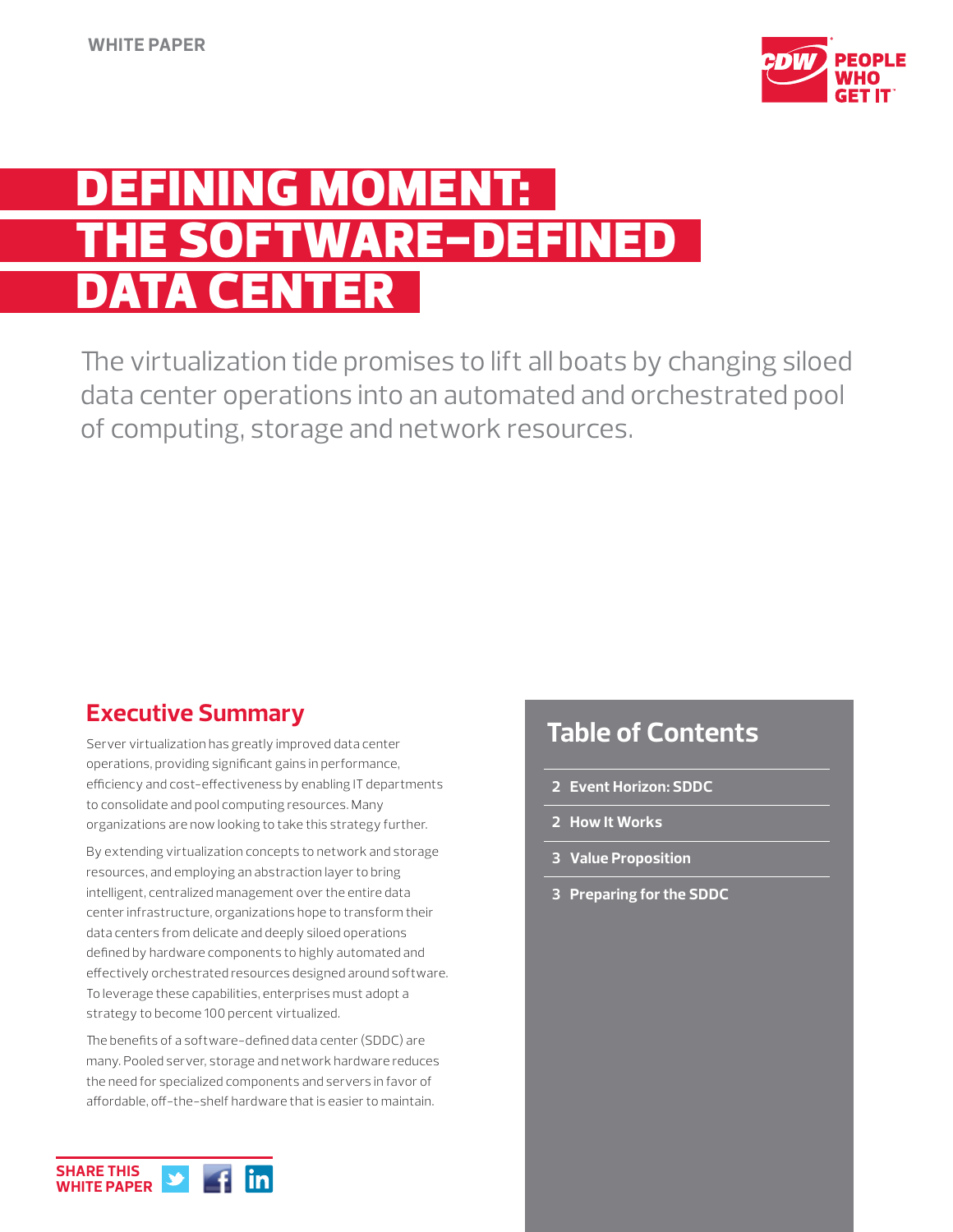

# NING MOMEN )FTWARE-DEFINED DATA CENTER

The virtualization tide promises to lift all boats by changing siloed data center operations into an automated and orchestrated pool of computing, storage and network resources.

## **Executive Summary**

Server virtualization has greatly improved data center operations, providing significant gains in performance, efficiency and cost-effectiveness by enabling IT departments to consolidate and pool computing resources. Many organizations are now looking to take this strategy further.

By extending virtualization concepts to network and storage resources, and employing an abstraction layer to bring intelligent, centralized management over the entire data center infrastructure, organizations hope to transform their data centers from delicate and deeply siloed operations defined by hardware components to highly automated and effectively orchestrated resources designed around software. To leverage these capabilities, enterprises must adopt a strategy to become 100 percent virtualized.

The benefits of a software-defined data center (SDDC) are many. Pooled server, storage and network hardware reduces the need for specialized components and servers in favor of affordable, off-the-shelf hardware that is easier to maintain.

## **Table of Contents**

- **2 Event Horizon: SDDC**
- **2 How It Works**
- **3 Value Proposition**
- **3 Preparing for the SDDC**

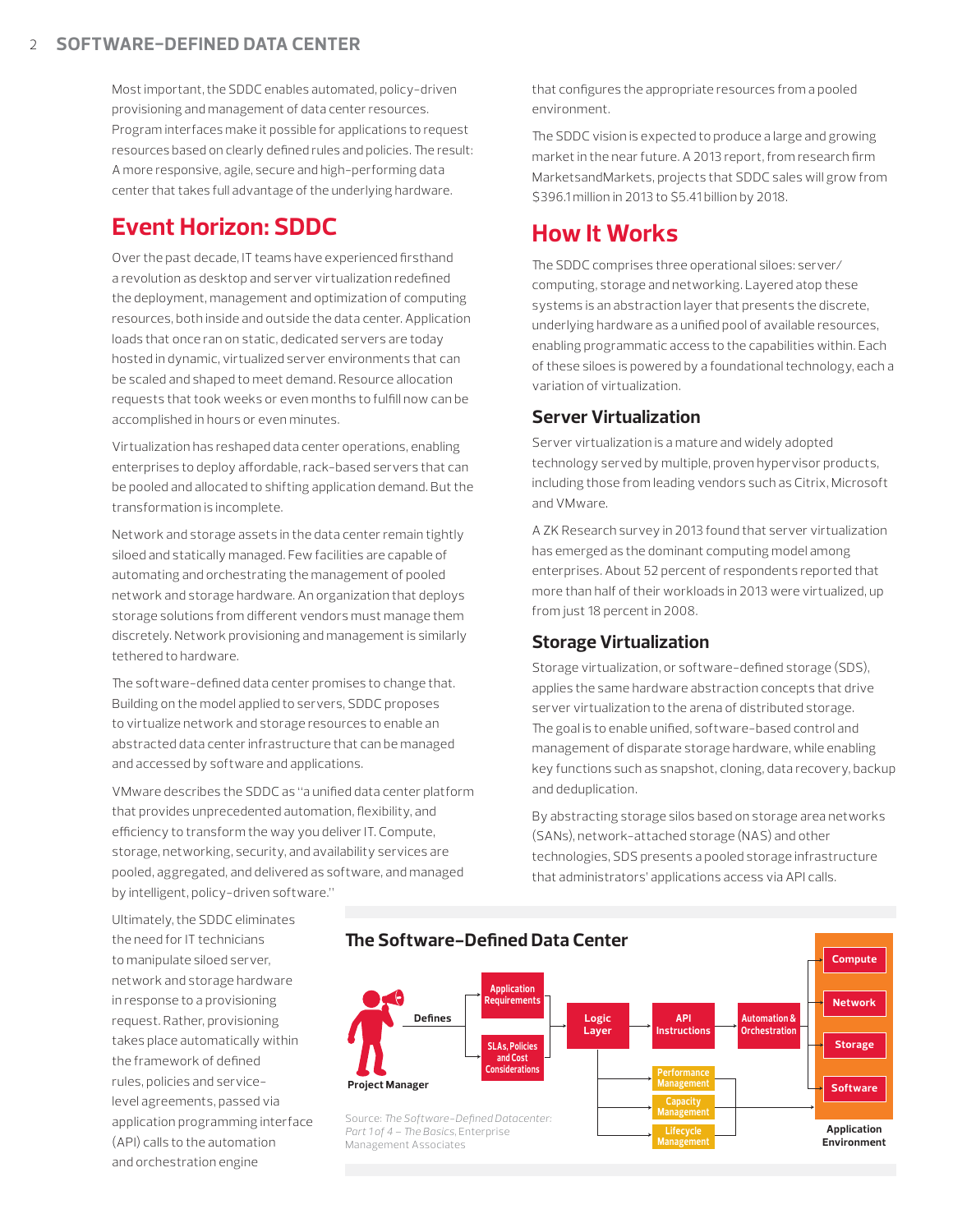Most important, the SDDC enables automated, policy-driven provisioning and management of data center resources. Program interfaces make it possible for applications to request resources based on clearly defined rules and policies. The result: A more responsive, agile, secure and high-performing data center that takes full advantage of the underlying hardware.

## **Event Horizon: SDDC**

Over the past decade, IT teams have experienced firsthand a revolution as desktop and server virtualization redefined the deployment, management and optimization of computing resources, both inside and outside the data center. Application loads that once ran on static, dedicated servers are today hosted in dynamic, virtualized server environments that can be scaled and shaped to meet demand. Resource allocation requests that took weeks or even months to fulfill now can be accomplished in hours or even minutes.

Virtualization has reshaped data center operations, enabling enterprises to deploy affordable, rack-based servers that can be pooled and allocated to shifting application demand. But the transformation is incomplete.

Network and storage assets in the data center remain tightly siloed and statically managed. Few facilities are capable of automating and orchestrating the management of pooled network and storage hardware. An organization that deploys storage solutions from different vendors must manage them discretely. Network provisioning and management is similarly tethered to hardware.

The software-defined data center promises to change that. Building on the model applied to servers, SDDC proposes to virtualize network and storage resources to enable an abstracted data center infrastructure that can be managed and accessed by software and applications.

VMware describes the SDDC as "a unified data center platform that provides unprecedented automation, flexibility, and efficiency to transform the way you deliver IT. Compute, storage, networking, security, and availability services are pooled, aggregated, and delivered as software, and managed by intelligent, policy-driven software."

that configures the appropriate resources from a pooled environment.

The SDDC vision is expected to produce a large and growing market in the near future. A 2013 report, from research firm MarketsandMarkets, projects that SDDC sales will grow from \$396.1 million in 2013 to \$5.41 billion by 2018.

## **How It Works**

The SDDC comprises three operational siloes: server/ computing, storage and networking. Layered atop these systems is an abstraction layer that presents the discrete, underlying hardware as a unified pool of available resources, enabling programmatic access to the capabilities within. Each of these siloes is powered by a foundational technology, each a variation of virtualization.

#### **Server Virtualization**

Server virtualization is a mature and widely adopted technology served by multiple, proven hypervisor products, including those from leading vendors such as Citrix, Microsoft and VMware.

A ZK Research survey in 2013 found that server virtualization has emerged as the dominant computing model among enterprises. About 52 percent of respondents reported that more than half of their workloads in 2013 were virtualized, up from just 18 percent in 2008.

#### **Storage Virtualization**

Storage virtualization, or software-defined storage (SDS), applies the same hardware abstraction concepts that drive server virtualization to the arena of distributed storage. The goal is to enable unified, software-based control and management of disparate storage hardware, while enabling key functions such as snapshot, cloning, data recovery, backup and deduplication.

By abstracting storage silos based on storage area networks (SANs), network-attached storage (NAS) and other technologies, SDS presents a pooled storage infrastructure that administrators' applications access via API calls.

> **Lifecycle Management**

**Application Environment**

Ultimately, the SDDC eliminates the need for IT technicians to manipulate siloed server, network and storage hardware in response to a provisioning request. Rather, provisioning takes place automatically within the framework of defined rules, policies and servicelevel agreements, passed via application programming interface (API) calls to the automation and orchestration engine



Source: *The Software-Defined Datacenter: Part 1 of 4 – The Basics,* Enterprise Management Associates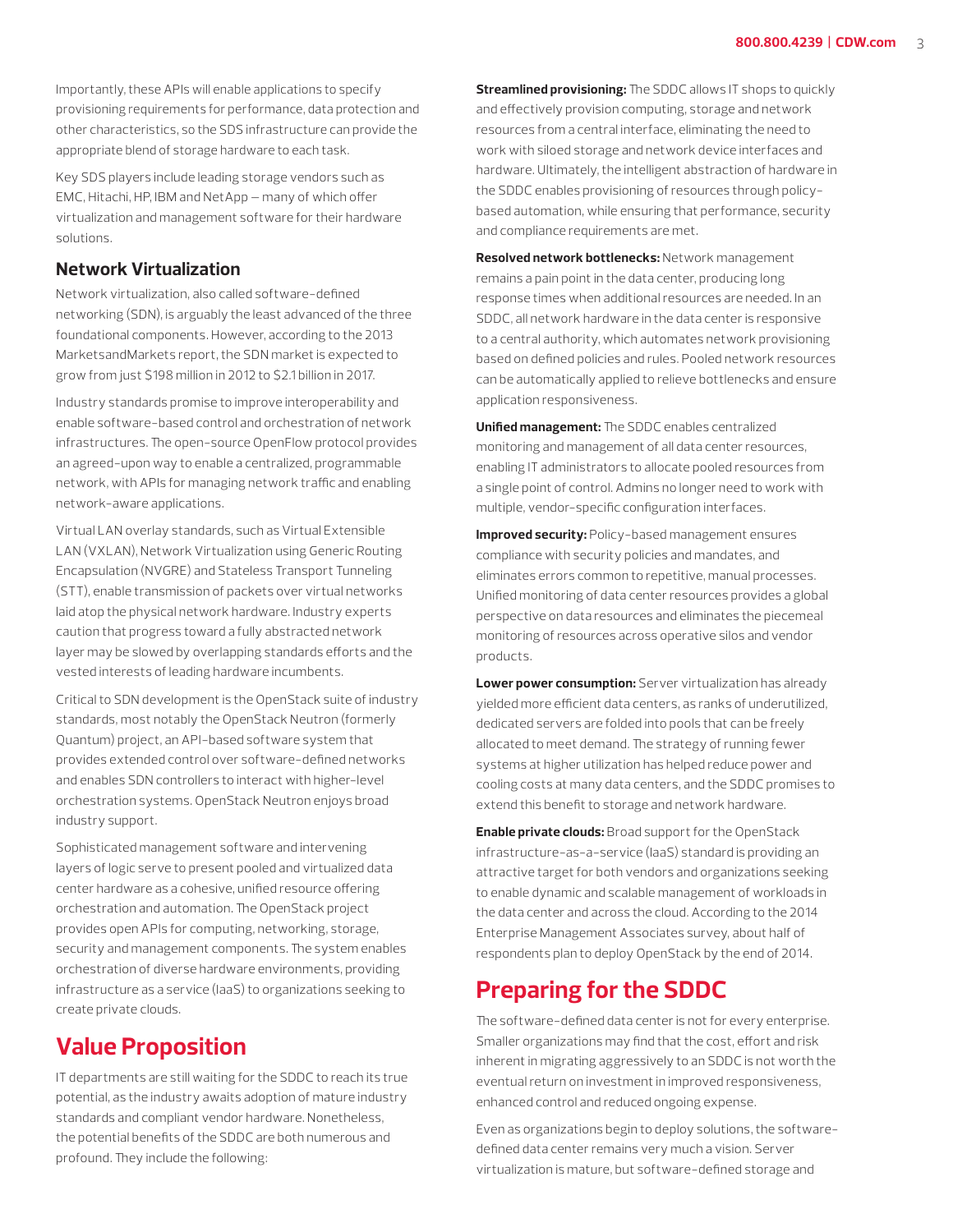Importantly, these APIs will enable applications to specify provisioning requirements for performance, data protection and other characteristics, so the SDS infrastructure can provide the appropriate blend of storage hardware to each task.

Key SDS players include leading storage vendors such as EMC, Hitachi, HP, IBM and NetApp — many of which offer virtualization and management software for their hardware solutions.

#### **Network Virtualization**

Network virtualization, also called software-defined networking (SDN), is arguably the least advanced of the three foundational components. However, according to the 2013 MarketsandMarkets report, the SDN market is expected to grow from just \$198 million in 2012 to \$2.1 billion in 2017.

Industry standards promise to improve interoperability and enable software-based control and orchestration of network infrastructures. The open-source OpenFlow protocol provides an agreed-upon way to enable a centralized, programmable network, with APIs for managing network traffic and enabling network-aware applications.

Virtual LAN overlay standards, such as Virtual Extensible LAN (VXLAN), Network Virtualization using Generic Routing Encapsulation (NVGRE) and Stateless Transport Tunneling (STT), enable transmission of packets over virtual networks laid atop the physical network hardware. Industry experts caution that progress toward a fully abstracted network layer may be slowed by overlapping standards efforts and the vested interests of leading hardware incumbents.

Critical to SDN development is the OpenStack suite of industry standards, most notably the OpenStack Neutron (formerly Quantum) project, an API-based software system that provides extended control over software-defined networks and enables SDN controllers to interact with higher-level orchestration systems. OpenStack Neutron enjoys broad industry support.

Sophisticated management software and intervening layers of logic serve to present pooled and virtualized data center hardware as a cohesive, unified resource offering orchestration and automation. The OpenStack project provides open APIs for computing, networking, storage, security and management components. The system enables orchestration of diverse hardware environments, providing infrastructure as a service (IaaS) to organizations seeking to create private clouds.

## **Value Proposition**

IT departments are still waiting for the SDDC to reach its true potential, as the industry awaits adoption of mature industry standards and compliant vendor hardware. Nonetheless, the potential benefits of the SDDC are both numerous and profound. They include the following:

**Streamlined provisioning:** The SDDC allows IT shops to quickly and effectively provision computing, storage and network resources from a central interface, eliminating the need to work with siloed storage and network device interfaces and hardware. Ultimately, the intelligent abstraction of hardware in the SDDC enables provisioning of resources through policybased automation, while ensuring that performance, security and compliance requirements are met.

**Resolved network bottlenecks:** Network management remains a pain point in the data center, producing long response times when additional resources are needed. In an SDDC, all network hardware in the data center is responsive to a central authority, which automates network provisioning based on defined policies and rules. Pooled network resources can be automatically applied to relieve bottlenecks and ensure application responsiveness.

**Unified management:** The SDDC enables centralized monitoring and management of all data center resources, enabling IT administrators to allocate pooled resources from a single point of control. Admins no longer need to work with multiple, vendor-specific configuration interfaces.

**Improved security:** Policy-based management ensures compliance with security policies and mandates, and eliminates errors common to repetitive, manual processes. Unified monitoring of data center resources provides a global perspective on data resources and eliminates the piecemeal monitoring of resources across operative silos and vendor products.

**Lower power consumption:** Server virtualization has already yielded more efficient data centers, as ranks of underutilized, dedicated servers are folded into pools that can be freely allocated to meet demand. The strategy of running fewer systems at higher utilization has helped reduce power and cooling costs at many data centers, and the SDDC promises to extend this benefit to storage and network hardware.

**Enable private clouds:** Broad support for the OpenStack infrastructure-as-a-service (IaaS) standard is providing an attractive target for both vendors and organizations seeking to enable dynamic and scalable management of workloads in the data center and across the cloud. According to the 2014 Enterprise Management Associates survey, about half of respondents plan to deploy OpenStack by the end of 2014.

## **Preparing for the SDDC**

The software-defined data center is not for every enterprise. Smaller organizations may find that the cost, effort and risk inherent in migrating aggressively to an SDDC is not worth the eventual return on investment in improved responsiveness, enhanced control and reduced ongoing expense.

Even as organizations begin to deploy solutions, the softwaredefined data center remains very much a vision. Server virtualization is mature, but software-defined storage and